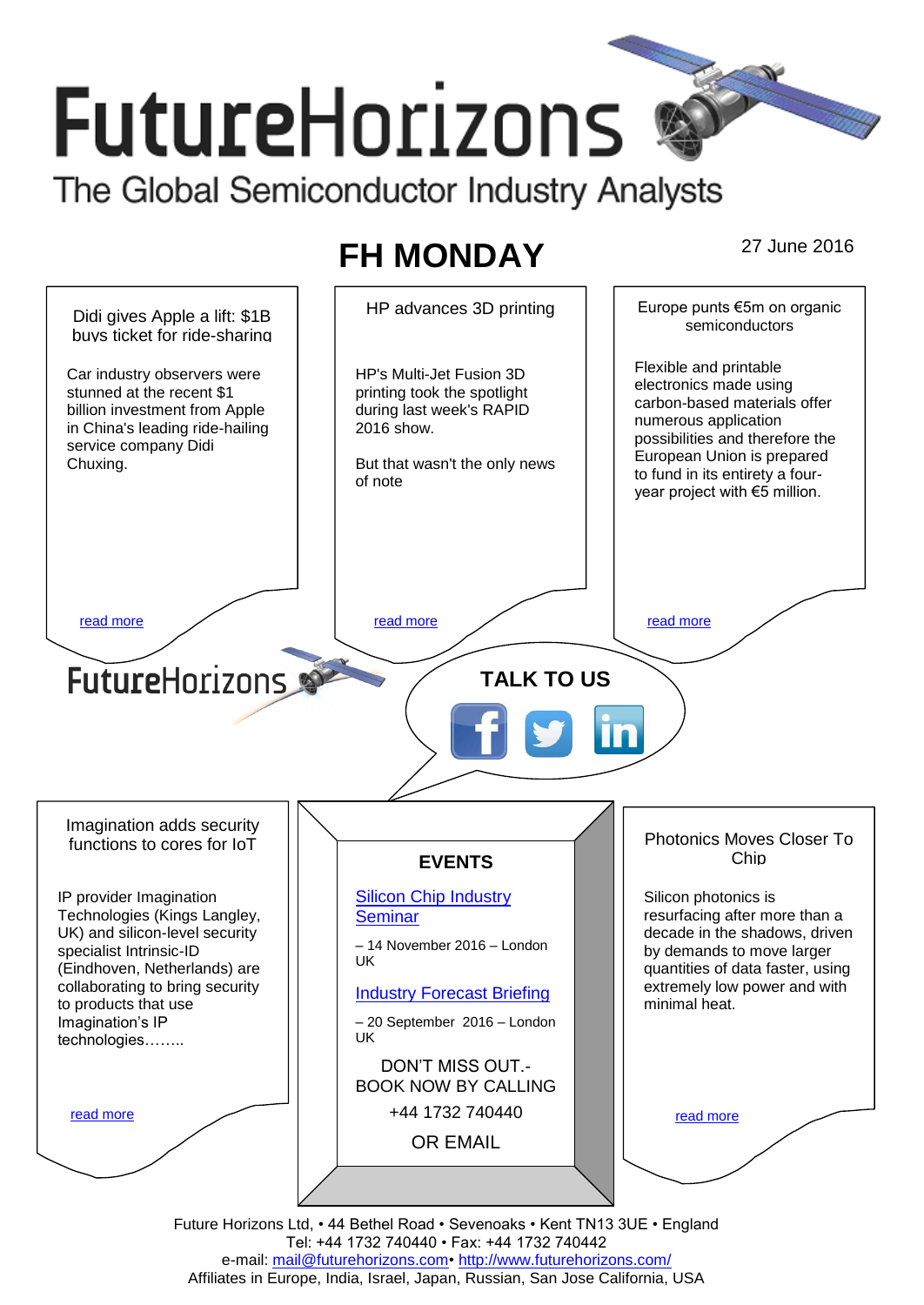# **FutureHorizons** The Global Semiconductor Industry Analysts

## **FH MONDAY** 27 June 2016



Tel: +44 1732 740440 • Fax: +44 1732 740442 e-mail: mail@futurehorizons.com• http://www.futurehorizons.com/ Affiliates in Europe, India, Israel, Japan, Russian, San Jose California, USA